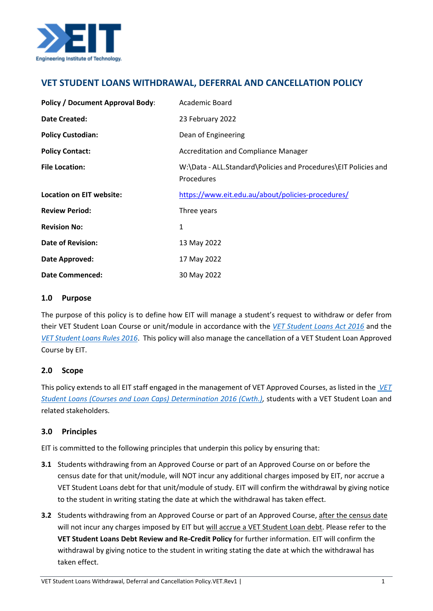

# **VET STUDENT LOANS WITHDRAWAL, DEFERRAL AND CANCELLATION POLICY**

| <b>Policy / Document Approval Body:</b> | Academic Board                                                                |
|-----------------------------------------|-------------------------------------------------------------------------------|
| <b>Date Created:</b>                    | 23 February 2022                                                              |
| <b>Policy Custodian:</b>                | Dean of Engineering                                                           |
| <b>Policy Contact:</b>                  | <b>Accreditation and Compliance Manager</b>                                   |
| <b>File Location:</b>                   | W:\Data - ALL.Standard\Policies and Procedures\EIT Policies and<br>Procedures |
| Location on EIT website:                | https://www.eit.edu.au/about/policies-procedures/                             |
| <b>Review Period:</b>                   | Three years                                                                   |
| <b>Revision No:</b>                     | 1                                                                             |
| <b>Date of Revision:</b>                | 13 May 2022                                                                   |
| Date Approved:                          | 17 May 2022                                                                   |
| <b>Date Commenced:</b>                  | 30 May 2022                                                                   |

## **1.0 Purpose**

The purpose of this policy is to define how EIT will manage a student's request to withdraw or defer from their VET Student Loan Course or unit/module in accordance with the *[VET Student Loans Act 2016](https://www.legislation.gov.au/Details/C2021C00507)* and the *[VET Student Loans Rules 2016](https://www.legislation.gov.au/Details/F2022C00202)*. This policy will also manage the cancellation of a VET Student Loan Approved Course by EIT.

## **2.0 Scope**

This policy extends to all EIT staff engaged in the management of VET Approved Courses, as listed in the *[VET](https://www.legislation.gov.au/Series/F2016L02016)  [Student Loans \(Courses and Loan Caps\) Determination 2016 \(Cwth.\),](https://www.legislation.gov.au/Series/F2016L02016)* students with a VET Student Loan and related stakeholders*.*

## **3.0 Principles**

EIT is committed to the following principles that underpin this policy by ensuring that:

- **3.1** Students withdrawing from an Approved Course or part of an Approved Course on or before the census date for that unit/module, will NOT incur any additional charges imposed by EIT, nor accrue a VET Student Loans debt for that unit/module of study. EIT will confirm the withdrawal by giving notice to the student in writing stating the date at which the withdrawal has taken effect.
- **3.2** Students withdrawing from an Approved Course or part of an Approved Course, after the census date will not incur any charges imposed by EIT but will accrue a VET Student Loan debt. Please refer to the **VET Student Loans Debt Review and Re-Credit Policy** for further information. EIT will confirm the withdrawal by giving notice to the student in writing stating the date at which the withdrawal has taken effect.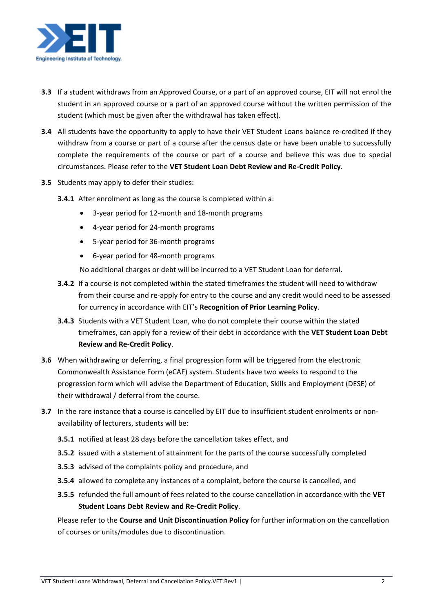

- **3.3** If a student withdraws from an Approved Course, or a part of an approved course, EIT will not enrol the student in an approved course or a part of an approved course without the written permission of the student (which must be given after the withdrawal has taken effect).
- **3.4** All students have the opportunity to apply to have their VET Student Loans balance re-credited if they withdraw from a course or part of a course after the census date or have been unable to successfully complete the requirements of the course or part of a course and believe this was due to special circumstances. Please refer to the **VET Student Loan Debt Review and Re-Credit Policy**.
- **3.5** Students may apply to defer their studies:
	- **3.4.1** After enrolment as long as the course is completed within a:
		- 3-year period for 12-month and 18-month programs
		- 4-year period for 24-month programs
		- 5-year period for 36-month programs
		- 6-year period for 48-month programs

No additional charges or debt will be incurred to a VET Student Loan for deferral.

- **3.4.2** If a course is not completed within the stated timeframes the student will need to withdraw from their course and re-apply for entry to the course and any credit would need to be assessed for currency in accordance with EIT's **Recognition of Prior Learning Policy**.
- **3.4.3** Students with a VET Student Loan, who do not complete their course within the stated timeframes, can apply for a review of their debt in accordance with the **VET Student Loan Debt Review and Re-Credit Policy**.
- **3.6** When withdrawing or deferring, a final progression form will be triggered from the electronic  Commonwealth Assistance Form (eCAF) system. Students have two weeks to respond to the progression form which will advise the Department of Education, Skills and Employment (DESE) of their withdrawal / deferral from the course.
- **3.7** In the rare instance that a course is cancelled by EIT due to insufficient student enrolments or nonavailability of lecturers, students will be:
	- **3.5.1** notified at least 28 days before the cancellation takes effect, and
	- **3.5.2** issued with a statement of attainment for the parts of the course successfully completed
	- **3.5.3** advised of the complaints policy and procedure, and
	- **3.5.4** allowed to complete any instances of a complaint, before the course is cancelled, and
	- **3.5.5** refunded the full amount of fees related to the course cancellation in accordance with the **VET Student Loans Debt Review and Re-Credit Policy**.

Please refer to the **Course and Unit Discontinuation Policy** for further information on the cancellation of courses or units/modules due to discontinuation.